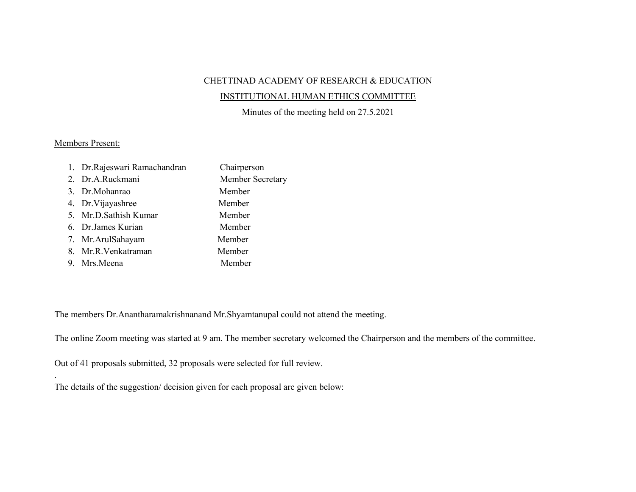## CHETTINAD ACADEMY OF RESEARCH & EDUCATION

## INSTITUTIONAL HUMAN ETHICS COMMITTEE

Minutes of the meeting held on 27.5.2021

## Members Present:

.

| 1. Dr.Rajeswari Ramachandran | Chairperson      |
|------------------------------|------------------|
| 2. Dr.A.Ruckmani             | Member Secretary |
| 3. Dr.Mohanrao               | Member           |
| 4. Dr. Vijayashree           | Member           |
| 5. Mr.D.Sathish Kumar        | Member           |
| 6. Dr.James Kurian           | Member           |
| 7. Mr. Arul Sahayam          | Member           |
| 8. Mr.R.Venkatraman          | Member           |
| 9. Mrs.Meena                 | Member           |

The members Dr.Anantharamakrishnanand Mr.Shyamtanupal could not attend the meeting.

The online Zoom meeting was started at 9 am. The member secretary welcomed the Chairperson and the members of the committee.

Out of 41 proposals submitted, 32 proposals were selected for full review.

The details of the suggestion/ decision given for each proposal are given below: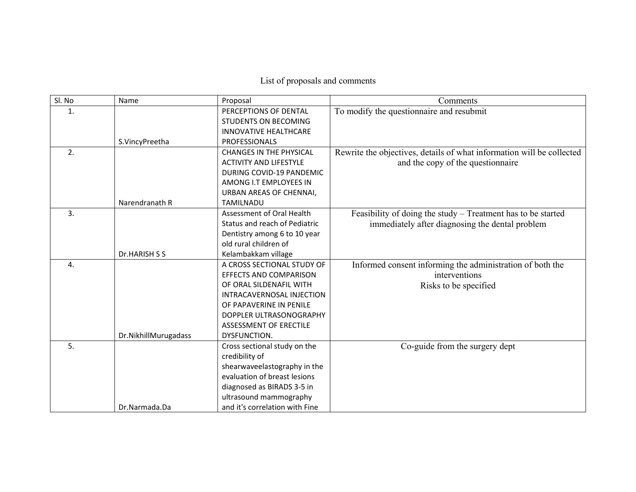List of proposals and comments

| Sl. No           | Name                 | Proposal                       | Comments                                                              |
|------------------|----------------------|--------------------------------|-----------------------------------------------------------------------|
| 1.               |                      | PERCEPTIONS OF DENTAL          | To modify the questionnaire and resubmit                              |
|                  |                      | <b>STUDENTS ON BECOMING</b>    |                                                                       |
|                  |                      | <b>INNOVATIVE HEALTHCARE</b>   |                                                                       |
|                  | S.VincyPreetha       | <b>PROFESSIONALS</b>           |                                                                       |
| 2.               |                      | <b>CHANGES IN THE PHYSICAL</b> | Rewrite the objectives, details of what information will be collected |
|                  |                      | <b>ACTIVITY AND LIFESTYLE</b>  | and the copy of the questionnaire                                     |
|                  |                      | DURING COVID-19 PANDEMIC       |                                                                       |
|                  |                      | AMONG I.T EMPLOYEES IN         |                                                                       |
|                  |                      | URBAN AREAS OF CHENNAI,        |                                                                       |
|                  | Narendranath R       | <b>TAMILNADU</b>               |                                                                       |
| 3 <sub>1</sub>   |                      | Assessment of Oral Health      | Feasibility of doing the study - Treatment has to be started          |
|                  |                      | Status and reach of Pediatric  | immediately after diagnosing the dental problem                       |
|                  |                      | Dentistry among 6 to 10 year   |                                                                       |
|                  |                      | old rural children of          |                                                                       |
|                  | Dr.HARISH S S        | Kelambakkam village            |                                                                       |
| $\overline{4}$ . |                      | A CROSS SECTIONAL STUDY OF     | Informed consent informing the administration of both the             |
|                  |                      | <b>EFFECTS AND COMPARISON</b>  | interventions                                                         |
|                  |                      | OF ORAL SILDENAFIL WITH        | Risks to be specified                                                 |
|                  |                      | INTRACAVERNOSAL INJECTION      |                                                                       |
|                  |                      | OF PAPAVERINE IN PENILE        |                                                                       |
|                  |                      | DOPPLER ULTRASONOGRAPHY        |                                                                       |
|                  |                      | ASSESSMENT OF ERECTILE         |                                                                       |
|                  | Dr.NikhillMurugadass | DYSFUNCTION.                   |                                                                       |
| 5.               |                      | Cross sectional study on the   | Co-guide from the surgery dept                                        |
|                  |                      | credibility of                 |                                                                       |
|                  |                      | shearwaveelastography in the   |                                                                       |
|                  |                      | evaluation of breast lesions   |                                                                       |
|                  |                      | diagnosed as BIRADS 3-5 in     |                                                                       |
|                  |                      | ultrasound mammography         |                                                                       |
|                  | Dr.Narmada.Da        | and it's correlation with Fine |                                                                       |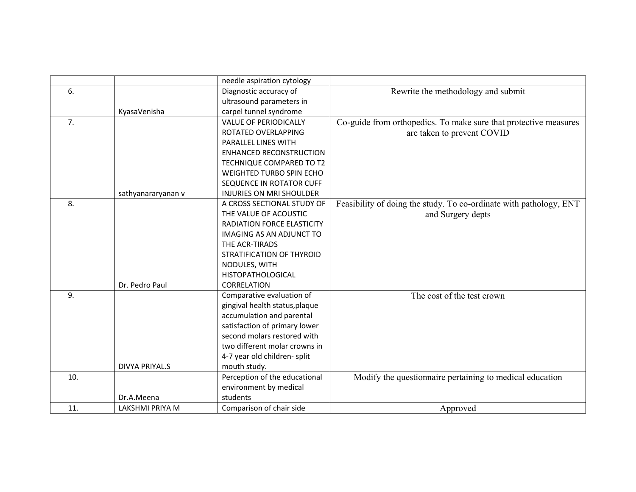|     |                       | needle aspiration cytology      |                                                                    |
|-----|-----------------------|---------------------------------|--------------------------------------------------------------------|
| 6.  |                       | Diagnostic accuracy of          | Rewrite the methodology and submit                                 |
|     |                       | ultrasound parameters in        |                                                                    |
|     | KyasaVenisha          | carpel tunnel syndrome          |                                                                    |
| 7.  |                       | <b>VALUE OF PERIODICALLY</b>    | Co-guide from orthopedics. To make sure that protective measures   |
|     |                       | ROTATED OVERLAPPING             | are taken to prevent COVID                                         |
|     |                       | PARALLEL LINES WITH             |                                                                    |
|     |                       | <b>ENHANCED RECONSTRUCTION</b>  |                                                                    |
|     |                       | TECHNIQUE COMPARED TO T2        |                                                                    |
|     |                       | WEIGHTED TURBO SPIN ECHO        |                                                                    |
|     |                       | SEQUENCE IN ROTATOR CUFF        |                                                                    |
|     | sathyanararyanan v    | <b>INJURIES ON MRI SHOULDER</b> |                                                                    |
| 8.  |                       | A CROSS SECTIONAL STUDY OF      | Feasibility of doing the study. To co-ordinate with pathology, ENT |
|     |                       | THE VALUE OF ACOUSTIC           | and Surgery depts                                                  |
|     |                       | RADIATION FORCE ELASTICITY      |                                                                    |
|     |                       | <b>IMAGING AS AN ADJUNCT TO</b> |                                                                    |
|     |                       | THE ACR-TIRADS                  |                                                                    |
|     |                       | STRATIFICATION OF THYROID       |                                                                    |
|     |                       | NODULES, WITH                   |                                                                    |
|     |                       | <b>HISTOPATHOLOGICAL</b>        |                                                                    |
|     | Dr. Pedro Paul        | CORRELATION                     |                                                                    |
| 9.  |                       | Comparative evaluation of       | The cost of the test crown                                         |
|     |                       | gingival health status, plaque  |                                                                    |
|     |                       | accumulation and parental       |                                                                    |
|     |                       | satisfaction of primary lower   |                                                                    |
|     |                       | second molars restored with     |                                                                    |
|     |                       | two different molar crowns in   |                                                                    |
|     |                       | 4-7 year old children-split     |                                                                    |
|     | <b>DIVYA PRIYAL.S</b> | mouth study.                    |                                                                    |
| 10. |                       | Perception of the educational   | Modify the questionnaire pertaining to medical education           |
|     |                       | environment by medical          |                                                                    |
|     | Dr.A.Meena            | students                        |                                                                    |
| 11. | LAKSHMI PRIYA M       | Comparison of chair side        | Approved                                                           |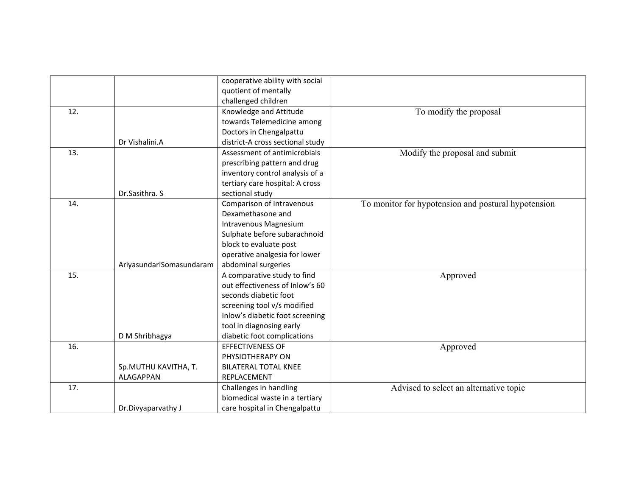|     |                          | cooperative ability with social  |                                                     |
|-----|--------------------------|----------------------------------|-----------------------------------------------------|
|     |                          |                                  |                                                     |
|     |                          | quotient of mentally             |                                                     |
|     |                          | challenged children              |                                                     |
| 12. |                          | Knowledge and Attitude           | To modify the proposal                              |
|     |                          | towards Telemedicine among       |                                                     |
|     |                          | Doctors in Chengalpattu          |                                                     |
|     | Dr Vishalini.A           | district-A cross sectional study |                                                     |
| 13. |                          | Assessment of antimicrobials     | Modify the proposal and submit                      |
|     |                          | prescribing pattern and drug     |                                                     |
|     |                          | inventory control analysis of a  |                                                     |
|     |                          | tertiary care hospital: A cross  |                                                     |
|     | Dr.Sasithra. S           | sectional study                  |                                                     |
| 14. |                          | Comparison of Intravenous        | To monitor for hypotension and postural hypotension |
|     |                          | Dexamethasone and                |                                                     |
|     |                          | Intravenous Magnesium            |                                                     |
|     |                          | Sulphate before subarachnoid     |                                                     |
|     |                          | block to evaluate post           |                                                     |
|     |                          | operative analgesia for lower    |                                                     |
|     | AriyasundariSomasundaram | abdominal surgeries              |                                                     |
| 15. |                          | A comparative study to find      | Approved                                            |
|     |                          | out effectiveness of Inlow's 60  |                                                     |
|     |                          | seconds diabetic foot            |                                                     |
|     |                          | screening tool v/s modified      |                                                     |
|     |                          | Inlow's diabetic foot screening  |                                                     |
|     |                          | tool in diagnosing early         |                                                     |
|     | D M Shribhagya           | diabetic foot complications      |                                                     |
| 16. |                          | <b>EFFECTIVENESS OF</b>          | Approved                                            |
|     |                          | PHYSIOTHERAPY ON                 |                                                     |
|     | Sp.MUTHU KAVITHA, T.     | <b>BILATERAL TOTAL KNEE</b>      |                                                     |
|     | <b>ALAGAPPAN</b>         | REPLACEMENT                      |                                                     |
| 17. |                          | Challenges in handling           | Advised to select an alternative topic              |
|     |                          | biomedical waste in a tertiary   |                                                     |
|     | Dr.Divyaparvathy J       | care hospital in Chengalpattu    |                                                     |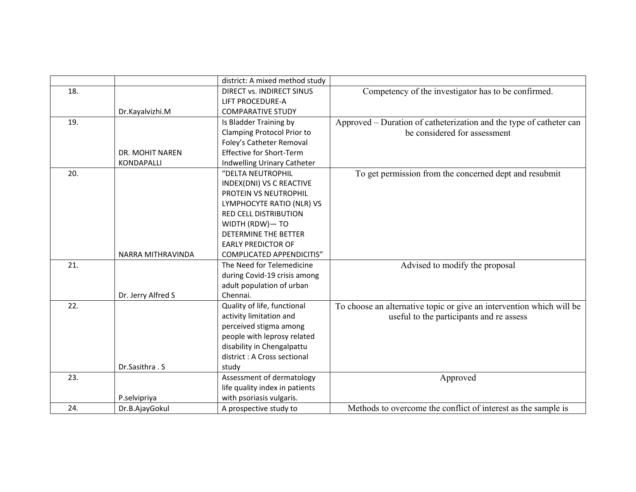|     |                    | district: A mixed method study   |                                                                      |
|-----|--------------------|----------------------------------|----------------------------------------------------------------------|
| 18. |                    | <b>DIRECT vs. INDIRECT SINUS</b> | Competency of the investigator has to be confirmed.                  |
|     |                    | <b>LIFT PROCEDURE-A</b>          |                                                                      |
|     | Dr.Kayalvizhi.M    | <b>COMPARATIVE STUDY</b>         |                                                                      |
| 19. |                    | Is Bladder Training by           | Approved – Duration of catheterization and the type of catheter can  |
|     |                    | Clamping Protocol Prior to       | be considered for assessment                                         |
|     |                    | Foley's Catheter Removal         |                                                                      |
|     | DR. MOHIT NAREN    | <b>Effective for Short-Term</b>  |                                                                      |
|     | KONDAPALLI         | Indwelling Urinary Catheter      |                                                                      |
| 20. |                    | "DELTA NEUTROPHIL                | To get permission from the concerned dept and resubmit               |
|     |                    | INDEX(DNI) VS C REACTIVE         |                                                                      |
|     |                    | PROTEIN VS NEUTROPHIL            |                                                                      |
|     |                    | LYMPHOCYTE RATIO (NLR) VS        |                                                                      |
|     |                    | <b>RED CELL DISTRIBUTION</b>     |                                                                      |
|     |                    | WIDTH (RDW)- TO                  |                                                                      |
|     |                    | DETERMINE THE BETTER             |                                                                      |
|     |                    | <b>EARLY PREDICTOR OF</b>        |                                                                      |
|     | NARRA MITHRAVINDA  | COMPLICATED APPENDICITIS"        |                                                                      |
| 21. |                    | The Need for Telemedicine        | Advised to modify the proposal                                       |
|     |                    | during Covid-19 crisis among     |                                                                      |
|     |                    | adult population of urban        |                                                                      |
|     | Dr. Jerry Alfred S | Chennai.                         |                                                                      |
| 22. |                    | Quality of life, functional      | To choose an alternative topic or give an intervention which will be |
|     |                    | activity limitation and          | useful to the participants and re assess                             |
|     |                    | perceived stigma among           |                                                                      |
|     |                    | people with leprosy related      |                                                                      |
|     |                    | disability in Chengalpattu       |                                                                      |
|     |                    | district: A Cross sectional      |                                                                      |
|     | Dr.Sasithra . S    | study                            |                                                                      |
| 23. |                    | Assessment of dermatology        | Approved                                                             |
|     |                    | life quality index in patients   |                                                                      |
|     | P.selvipriya       | with psoriasis vulgaris.         |                                                                      |
| 24. | Dr.B.AjayGokul     | A prospective study to           | Methods to overcome the conflict of interest as the sample is        |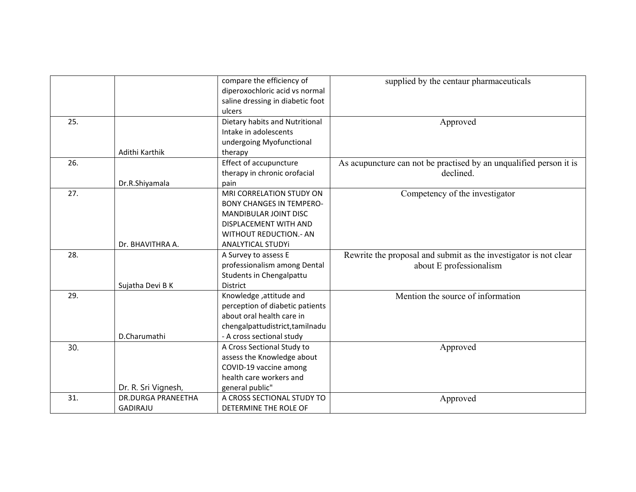|     |                           | compare the efficiency of                     | supplied by the centaur pharmaceuticals                            |
|-----|---------------------------|-----------------------------------------------|--------------------------------------------------------------------|
|     |                           | diperoxochloric acid vs normal                |                                                                    |
|     |                           | saline dressing in diabetic foot              |                                                                    |
|     |                           | ulcers                                        |                                                                    |
|     |                           |                                               |                                                                    |
| 25. |                           | Dietary habits and Nutritional                | Approved                                                           |
|     |                           | Intake in adolescents                         |                                                                    |
|     |                           | undergoing Myofunctional                      |                                                                    |
|     | Adithi Karthik            | therapy                                       |                                                                    |
| 26. |                           | Effect of accupuncture                        | As acupuncture can not be practised by an unqualified person it is |
|     |                           | therapy in chronic orofacial                  | declined.                                                          |
|     | Dr.R.Shiyamala            | pain                                          |                                                                    |
| 27. |                           | MRI CORRELATION STUDY ON                      | Competency of the investigator                                     |
|     |                           | <b>BONY CHANGES IN TEMPERO-</b>               |                                                                    |
|     |                           | MANDIBULAR JOINT DISC                         |                                                                    |
|     |                           | DISPLACEMENT WITH AND                         |                                                                    |
|     |                           | <b>WITHOUT REDUCTION.- AN</b>                 |                                                                    |
|     | Dr. BHAVITHRA A.          | ANALYTICAL STUDYi                             |                                                                    |
| 28. |                           | A Survey to assess E                          | Rewrite the proposal and submit as the investigator is not clear   |
|     |                           | professionalism among Dental                  | about E professionalism                                            |
|     |                           | Students in Chengalpattu                      |                                                                    |
|     | Sujatha Devi B K          | District                                      |                                                                    |
| 29. |                           | Knowledge, attitude and                       | Mention the source of information                                  |
|     |                           | perception of diabetic patients               |                                                                    |
|     |                           | about oral health care in                     |                                                                    |
|     |                           | chengalpattudistrict, tamilnadu               |                                                                    |
|     | D.Charumathi              | - A cross sectional study                     |                                                                    |
| 30. |                           | A Cross Sectional Study to                    | Approved                                                           |
|     |                           | assess the Knowledge about                    |                                                                    |
|     |                           | COVID-19 vaccine among                        |                                                                    |
|     |                           | health care workers and                       |                                                                    |
|     | Dr. R. Sri Vignesh,       |                                               |                                                                    |
| 31. | <b>DR.DURGA PRANEETHA</b> | general public"<br>A CROSS SECTIONAL STUDY TO |                                                                    |
|     |                           |                                               | Approved                                                           |
|     | <b>GADIRAJU</b>           | DETERMINE THE ROLE OF                         |                                                                    |